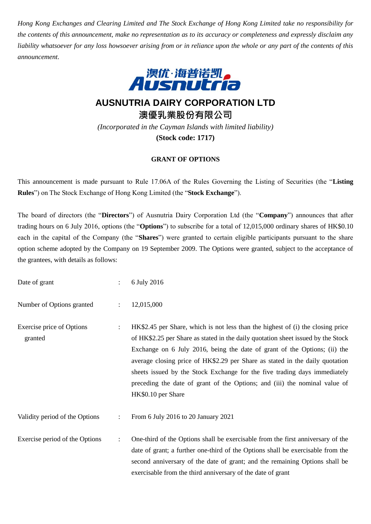*Hong Kong Exchanges and Clearing Limited and The Stock Exchange of Hong Kong Limited take no responsibility for the contents of this announcement, make no representation as to its accuracy or completeness and expressly disclaim any liability whatsoever for any loss howsoever arising from or in reliance upon the whole or any part of the contents of this announcement.*



**AUSNUTRIA DAIRY CORPORATION LTD 澳優乳業股份有限公司**

*(Incorporated in the Cayman Islands with limited liability)* **(Stock code: 1717)**

## **GRANT OF OPTIONS**

This announcement is made pursuant to Rule 17.06A of the Rules Governing the Listing of Securities (the "**Listing Rules**") on The Stock Exchange of Hong Kong Limited (the "**Stock Exchange**").

The board of directors (the "**Directors**") of Ausnutria Dairy Corporation Ltd (the "**Company**") announces that after trading hours on 6 July 2016, options (the "**Options**") to subscribe for a total of 12,015,000 ordinary shares of HK\$0.10 each in the capital of the Company (the "**Shares**") were granted to certain eligible participants pursuant to the share option scheme adopted by the Company on 19 September 2009. The Options were granted, subject to the acceptance of the grantees, with details as follows:

| Date of grant                        |                      | 6 July 2016                                                                                                                                                                                                                                                                                                                                                                                                                                                                                                       |
|--------------------------------------|----------------------|-------------------------------------------------------------------------------------------------------------------------------------------------------------------------------------------------------------------------------------------------------------------------------------------------------------------------------------------------------------------------------------------------------------------------------------------------------------------------------------------------------------------|
| Number of Options granted            | $\ddot{\cdot}$       | 12,015,000                                                                                                                                                                                                                                                                                                                                                                                                                                                                                                        |
| Exercise price of Options<br>granted | $\ddot{\phantom{a}}$ | HK\$2.45 per Share, which is not less than the highest of (i) the closing price<br>of HK\$2.25 per Share as stated in the daily quotation sheet issued by the Stock<br>Exchange on 6 July 2016, being the date of grant of the Options; (ii) the<br>average closing price of HK\$2.29 per Share as stated in the daily quotation<br>sheets issued by the Stock Exchange for the five trading days immediately<br>preceding the date of grant of the Options; and (iii) the nominal value of<br>HK\$0.10 per Share |
| Validity period of the Options       | $\ddot{\cdot}$       | From 6 July 2016 to 20 January 2021                                                                                                                                                                                                                                                                                                                                                                                                                                                                               |
| Exercise period of the Options       | $\ddot{\phantom{a}}$ | One-third of the Options shall be exercisable from the first anniversary of the<br>date of grant; a further one-third of the Options shall be exercisable from the<br>second anniversary of the date of grant; and the remaining Options shall be<br>exercisable from the third anniversary of the date of grant                                                                                                                                                                                                  |